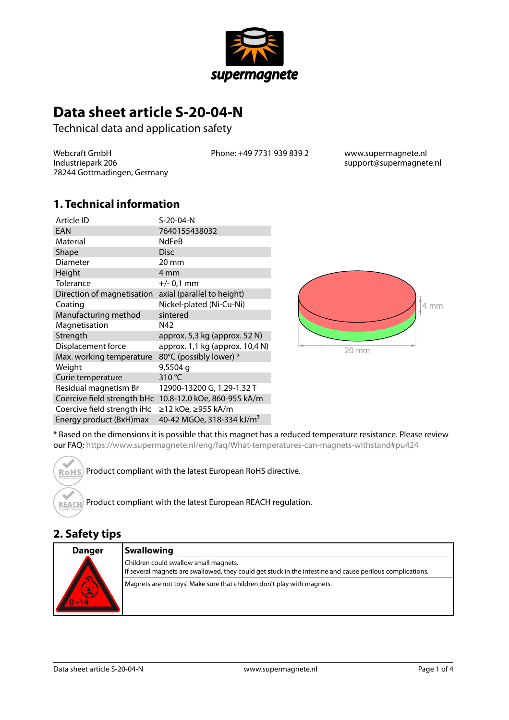

# **Data sheet article S-20-04-N**

Technical data and application safety

Webcraft GmbH Industriepark 206 78244 Gottmadingen, Germany Phone: +49 7731 939 839 2 www.supermagnete.nl

support@supermagnete.nl

#### **1. Technical information**

| Article ID                  | S-20-04-N                       |
|-----------------------------|---------------------------------|
| EAN                         | 7640155438032                   |
| Material                    | <b>NdFeB</b>                    |
| Shape                       | <b>Disc</b>                     |
| Diameter                    | $20 \text{ mm}$                 |
| Height                      | 4 mm                            |
| Tolerance                   | $+/- 0.1$ mm                    |
| Direction of magnetisation  | axial (parallel to height)      |
| Coating                     | Nickel-plated (Ni-Cu-Ni)        |
| Manufacturing method        | sintered                        |
|                             |                                 |
| Magnetisation               | N42                             |
| Strength                    | approx. 5,3 kg (approx. 52 N)   |
| Displacement force          | approx. 1,1 kg (approx. 10,4 N) |
| Max. working temperature    | 80°C (possibly lower) *         |
| Weight                      | 9,5504 g                        |
| Curie temperature           | 310 °C                          |
| Residual magnetism Br       | 12900-13200 G, 1.29-1.32 T      |
| Coercive field strength bHc | 10.8-12.0 kOe, 860-955 kA/m     |
| Coercive field strength iHc | ≥12 kOe, ≥955 kA/m              |



\* Based on the dimensions it is possible that this magnet has a reduced temperature resistance. Please review our FAQ: <https://www.supermagnete.nl/eng/faq/What-temperatures-can-magnets-withstand#pu424>

Product compliant with the latest European RoHS directive. **RoHS** 

Product compliant with the latest European REACH regulation. **REACH** 

### **2. Safety tips**

| <b>Danger</b>                         | <b>Swallowing</b>                                                                                                                                  |
|---------------------------------------|----------------------------------------------------------------------------------------------------------------------------------------------------|
|                                       | Children could swallow small magnets.<br>If several magnets are swallowed, they could get stuck in the intestine and cause perilous complications. |
| $\overline{\mathbf{c}}$<br>0/2<br>-14 | Magnets are not toys! Make sure that children don't play with magnets.                                                                             |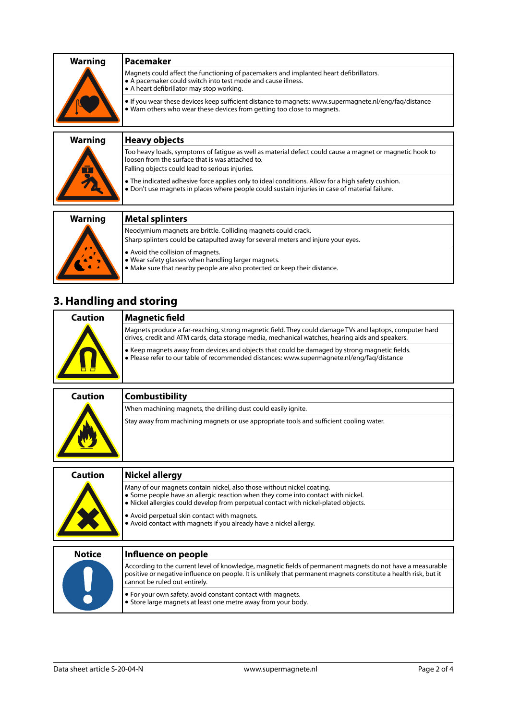| <b>Warning</b> | l Pacemaker                                                                                                                                                                                       |
|----------------|---------------------------------------------------------------------------------------------------------------------------------------------------------------------------------------------------|
|                | Magnets could affect the functioning of pacemakers and implanted heart defibrillators.<br>A pacemaker could switch into test mode and cause illness.<br>• A heart defibrillator may stop working. |
|                | $\bullet$ If you wear these devices keep sufficient distance to magnets: www.supermagnete.nl/eng/fag/distance<br>. Warn others who wear these devices from getting too close to magnets.          |
|                |                                                                                                                                                                                                   |

| <b>Heavy objects</b>                                                                                                                                                                                            |
|-----------------------------------------------------------------------------------------------------------------------------------------------------------------------------------------------------------------|
| Too heavy loads, symptoms of fatique as well as material defect could cause a magnet or magnetic hook to<br>loosen from the surface that is was attached to.<br>Falling objects could lead to serious injuries. |
| • The indicated adhesive force applies only to ideal conditions. Allow for a high safety cushion.<br>. Don't use magnets in places where people could sustain injuries in case of material failure.             |
| <b>Metal splinters</b>                                                                                                                                                                                          |
|                                                                                                                                                                                                                 |
| Neodymium magnets are brittle. Colliding magnets could crack.                                                                                                                                                   |
| Sharp splinters could be catapulted away for several meters and injure your eyes.                                                                                                                               |
|                                                                                                                                                                                                                 |

- **•** Avoid the collision of magnets.
- **•** Wear safety glasses when handling larger magnets.
- **•** Make sure that nearby people are also protected or keep their distance.

## **3. Handling and storing**

| Caution | Magnetic field                                                                                                                                                                                              |
|---------|-------------------------------------------------------------------------------------------------------------------------------------------------------------------------------------------------------------|
|         | Magnets produce a far-reaching, strong magnetic field. They could damage TVs and laptops, computer hard<br>drives, credit and ATM cards, data storage media, mechanical watches, hearing aids and speakers. |
|         | • Keep magnets away from devices and objects that could be damaged by strong magnetic fields.<br>· Please refer to our table of recommended distances: www.supermagnete.nl/eng/faq/distance                 |

| Caution | <b>Combustibility</b>                                                                   |
|---------|-----------------------------------------------------------------------------------------|
|         | When machining magnets, the drilling dust could easily ignite.                          |
|         | Stay away from machining magnets or use appropriate tools and sufficient cooling water. |

| <b>Caution</b> | Nickel allergy                                                                                                                                                                                                                                                                |
|----------------|-------------------------------------------------------------------------------------------------------------------------------------------------------------------------------------------------------------------------------------------------------------------------------|
|                | Many of our magnets contain nickel, also those without nickel coating.<br>• Some people have an allergic reaction when they come into contact with nickel.<br>. Nickel allergies could develop from perpetual contact with nickel-plated objects.                             |
|                | • Avoid perpetual skin contact with magnets.<br>• Avoid contact with magnets if you already have a nickel allergy.                                                                                                                                                            |
|                |                                                                                                                                                                                                                                                                               |
| <b>Notice</b>  | Influence on people                                                                                                                                                                                                                                                           |
|                | According to the current level of knowledge, magnetic fields of permanent magnets do not have a measurable<br>positive or negative influence on people. It is unlikely that permanent magnets constitute a health risk, but it<br>الترامين فمتماس والمتمارين المتمالة متمرمون |

| -positive or negative implence on people. It is unlikely that permanent magnets constitute a nealth risk, but it<br>l cannot be ruled out entirelv. |
|-----------------------------------------------------------------------------------------------------------------------------------------------------|
| $\bullet$ For your own safety, avoid constant contact with magnets.<br>Store large magnets at least one metre away from your body.                  |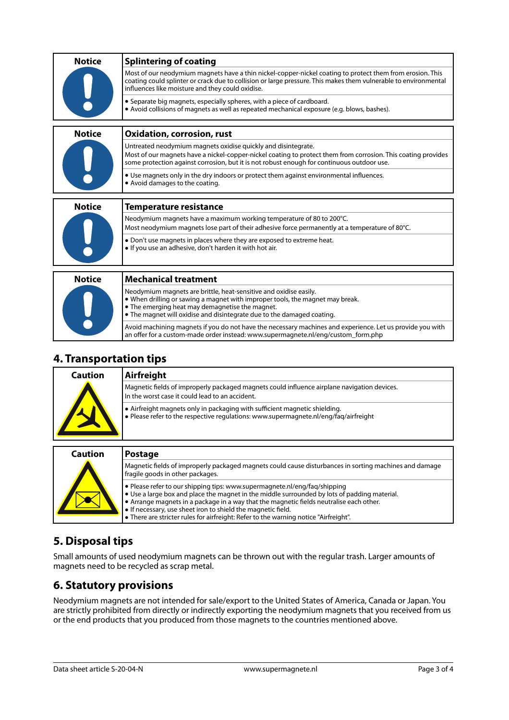| <b>Notice</b> | <b>Splintering of coating</b>                                                                                                                                                                                                                                                    |
|---------------|----------------------------------------------------------------------------------------------------------------------------------------------------------------------------------------------------------------------------------------------------------------------------------|
|               | Most of our neodymium magnets have a thin nickel-copper-nickel coating to protect them from erosion. This<br>coating could splinter or crack due to collision or large pressure. This makes them vulnerable to environmental<br>influences like moisture and they could oxidise. |
|               | • Separate big magnets, especially spheres, with a piece of cardboard.<br>• Avoid collisions of magnets as well as repeated mechanical exposure (e.g. blows, bashes).                                                                                                            |
| <b>Notice</b> | <b>Oxidation, corrosion, rust</b>                                                                                                                                                                                                                                                |
|               | Untreated neodymium magnets oxidise quickly and disintegrate.<br>Most of our magnets have a nickel-copper-nickel coating to protect them from corrosion. This coating provides<br>some protection against corrosion, but it is not robust enough for continuous outdoor use.     |
|               | • Use magnets only in the dry indoors or protect them against environmental influences.<br>• Avoid damages to the coating.                                                                                                                                                       |
| <b>Notice</b> | <b>Temperature resistance</b>                                                                                                                                                                                                                                                    |
|               | Neodymium magnets have a maximum working temperature of 80 to 200°C.                                                                                                                                                                                                             |
|               | Most neodymium magnets lose part of their adhesive force permanently at a temperature of 80°C.                                                                                                                                                                                   |
|               | • Don't use magnets in places where they are exposed to extreme heat.<br>. If you use an adhesive, don't harden it with hot air.                                                                                                                                                 |
|               |                                                                                                                                                                                                                                                                                  |
| <b>Notice</b> | <b>Mechanical treatment</b>                                                                                                                                                                                                                                                      |
|               | Neodymium magnets are brittle, heat-sensitive and oxidise easily.<br>• When drilling or sawing a magnet with improper tools, the magnet may break.<br>• The emerging heat may demagnetise the magnet.<br>• The magnet will oxidise and disintegrate due to the damaged coating.  |
|               | Avoid machining magnets if you do not have the necessary machines and experience. Let us provide you with                                                                                                                                                                        |

#### **4. Transportation tips**

| Caution | Airfreight                                                                                                                                                         |
|---------|--------------------------------------------------------------------------------------------------------------------------------------------------------------------|
|         | Magnetic fields of improperly packaged magnets could influence airplane navigation devices.<br>In the worst case it could lead to an accident.                     |
|         | • Airfreight magnets only in packaging with sufficient magnetic shielding.<br>• Please refer to the respective regulations: www.supermagnete.nl/eng/fag/airfreight |

an offer for a custom-made order instead: [www.supermagnete.nl/eng/custom\\_form.php](http://www.supermagnete.nl/eng/custom_form.php)

| <b>Caution</b> | <b>Postage</b>                                                                                                                                                                                                                                                                                                                                                                                                                       |
|----------------|--------------------------------------------------------------------------------------------------------------------------------------------------------------------------------------------------------------------------------------------------------------------------------------------------------------------------------------------------------------------------------------------------------------------------------------|
|                | Magnetic fields of improperly packaged magnets could cause disturbances in sorting machines and damage<br>fragile goods in other packages.                                                                                                                                                                                                                                                                                           |
|                | • Please refer to our shipping tips: www.supermagnete.nl/eng/fag/shipping<br>$\bullet$ Use a large box and place the magnet in the middle surrounded by lots of padding material.<br>• Arrange magnets in a package in a way that the magnetic fields neutralise each other.<br>• If necessary, use sheet iron to shield the magnetic field.<br>• There are stricter rules for airfreight: Refer to the warning notice "Airfreight". |

### **5. Disposal tips**

Small amounts of used neodymium magnets can be thrown out with the regular trash. Larger amounts of magnets need to be recycled as scrap metal.

### **6. Statutory provisions**

Neodymium magnets are not intended for sale/export to the United States of America, Canada or Japan. You are strictly prohibited from directly or indirectly exporting the neodymium magnets that you received from us or the end products that you produced from those magnets to the countries mentioned above.